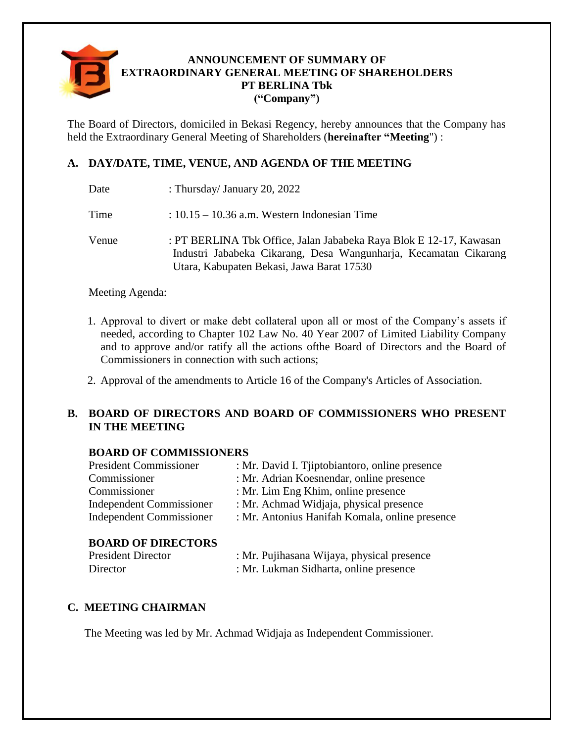

## **ANNOUNCEMENT OF SUMMARY OF EXTRAORDINARY GENERAL MEETING OF SHAREHOLDERS PT BERLINA Tbk ("Company")**

The Board of Directors, domiciled in Bekasi Regency, hereby announces that the Company has held the Extraordinary General Meeting of Shareholders (**hereinafter "Meeting**") :

# **A. DAY/DATE, TIME, VENUE, AND AGENDA OF THE MEETING**

Time : 10.15 – 10.36 a.m. Western Indonesian Time

Venue : PT BERLINA Tbk Office, Jalan Jababeka Raya Blok E 12-17, Kawasan Industri Jababeka Cikarang, Desa Wangunharja, Kecamatan Cikarang Utara, Kabupaten Bekasi, Jawa Barat 17530

Meeting Agenda:

- 1. Approval to divert or make debt collateral upon all or most of the Company's assets if needed, according to Chapter 102 Law No. 40 Year 2007 of Limited Liability Company and to approve and/or ratify all the actions ofthe Board of Directors and the Board of Commissioners in connection with such actions;
- 2. Approval of the amendments to Article 16 of the Company's Articles of Association.

## **B. BOARD OF DIRECTORS AND BOARD OF COMMISSIONERS WHO PRESENT IN THE MEETING**

## **BOARD OF COMMISSIONERS**

| <b>President Commissioner</b> | : Mr. David I. Tiiptobiantoro, online presence |
|-------------------------------|------------------------------------------------|
| Commissioner                  | : Mr. Adrian Koesnendar, online presence       |
| Commissioner                  | : Mr. Lim Eng Khim, online presence            |
| Independent Commissioner      | : Mr. Achmad Widjaja, physical presence        |
| Independent Commissioner      | : Mr. Antonius Hanifah Komala, online presence |
|                               |                                                |

## **BOARD OF DIRECTORS**

| <b>President Director</b> | : Mr. Pujihasana Wijaya, physical presence |
|---------------------------|--------------------------------------------|
| Director                  | : Mr. Lukman Sidharta, online presence     |

## **C. MEETING CHAIRMAN**

The Meeting was led by Mr. Achmad Widjaja as Independent Commissioner.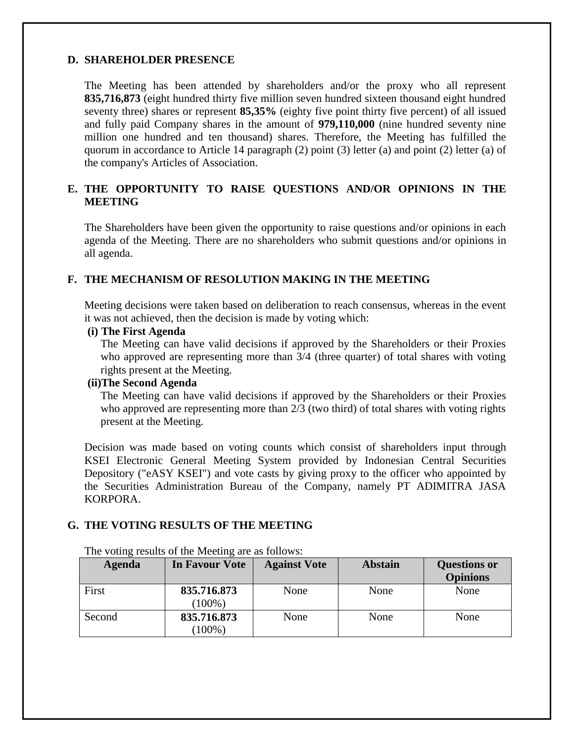### **D. SHAREHOLDER PRESENCE**

The Meeting has been attended by shareholders and/or the proxy who all represent **835,716,873** (eight hundred thirty five million seven hundred sixteen thousand eight hundred seventy three) shares or represent **85,35%** (eighty five point thirty five percent) of all issued and fully paid Company shares in the amount of **979,110,000** (nine hundred seventy nine million one hundred and ten thousand) shares. Therefore, the Meeting has fulfilled the quorum in accordance to Article 14 paragraph (2) point (3) letter (a) and point (2) letter (a) of the company's Articles of Association.

## **E. THE OPPORTUNITY TO RAISE QUESTIONS AND/OR OPINIONS IN THE MEETING**

The Shareholders have been given the opportunity to raise questions and/or opinions in each agenda of the Meeting. There are no shareholders who submit questions and/or opinions in all agenda.

### **F. THE MECHANISM OF RESOLUTION MAKING IN THE MEETING**

Meeting decisions were taken based on deliberation to reach consensus, whereas in the event it was not achieved, then the decision is made by voting which:

#### **(i) The First Agenda**

The Meeting can have valid decisions if approved by the Shareholders or their Proxies who approved are representing more than 3/4 (three quarter) of total shares with voting rights present at the Meeting.

#### **(ii)The Second Agenda**

The Meeting can have valid decisions if approved by the Shareholders or their Proxies who approved are representing more than 2/3 (two third) of total shares with voting rights present at the Meeting.

Decision was made based on voting counts which consist of shareholders input through KSEI Electronic General Meeting System provided by Indonesian Central Securities Depository ("eASY KSEI") and vote casts by giving proxy to the officer who appointed by the Securities Administration Bureau of the Company, namely PT ADIMITRA JASA KORPORA.

## **G. THE VOTING RESULTS OF THE MEETING**

| Agenda | In Favour Vote           | <b>Against Vote</b> | <b>Abstain</b> | <b>Questions or</b><br><b>Opinions</b> |
|--------|--------------------------|---------------------|----------------|----------------------------------------|
| First  | 835.716.873<br>$(100\%)$ | None                | None           | None                                   |
| Second | 835.716.873<br>$(100\%)$ | None                | None           | None                                   |

The voting results of the Meeting are as follows: